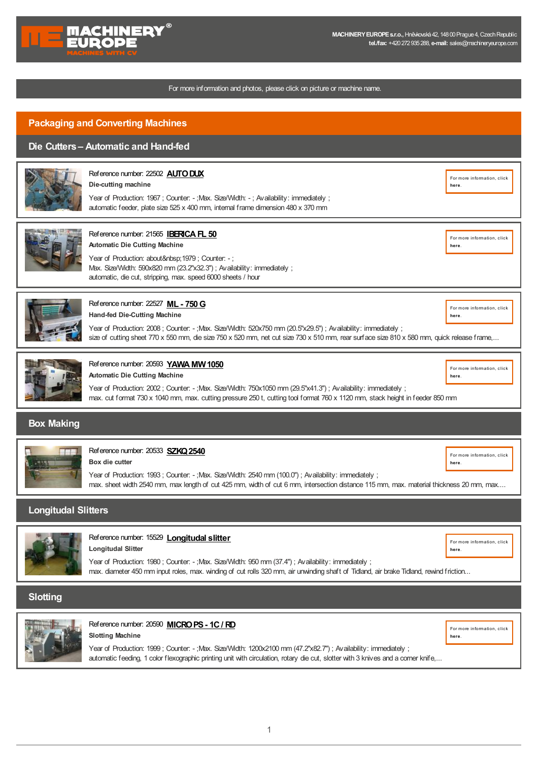

#### For more information and photos, please click on picture or machine name.

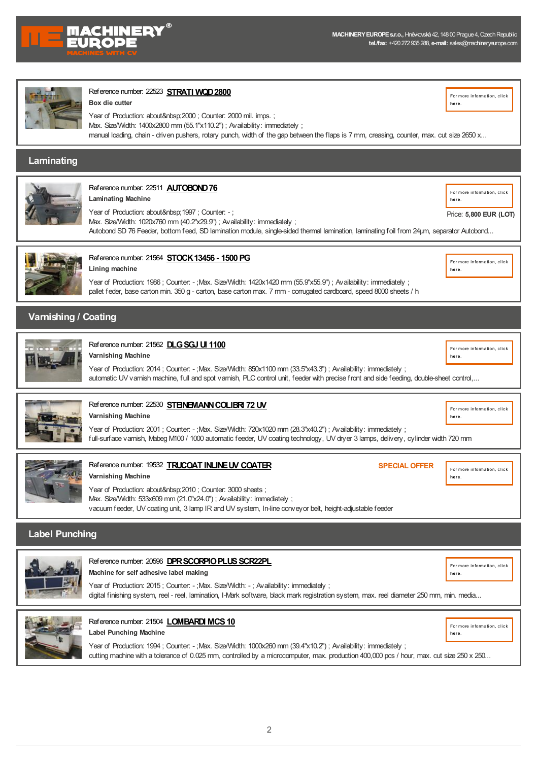

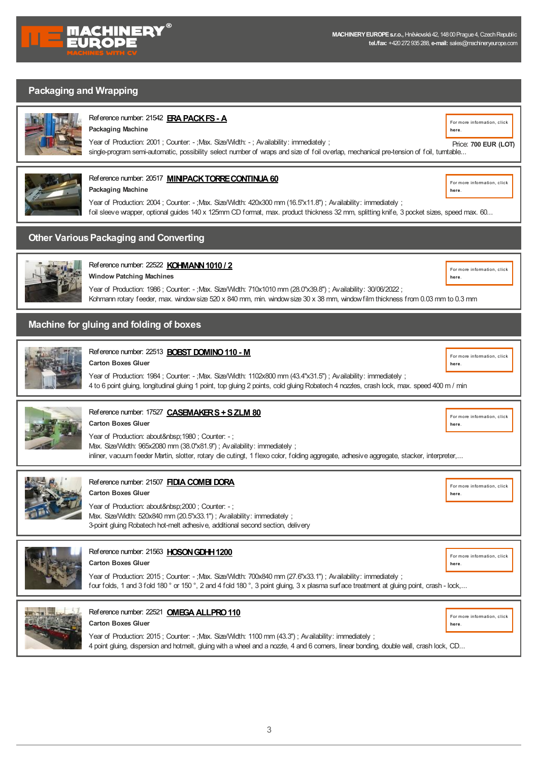

### **Packaging and Wrapping**



#### **Packaging Machine** [Reference](https://www.machineryeurope.com/machine/era-pack-fs-a?return=%2fpackaging-and-converting-machines%2f0%3fsp%3dFalse%26isPdf%3d2) number: 21542 **[ERAPACKFS-](https://www.machineryeurope.com/machine/era-pack-fs-a?return=%2fpackaging-and-converting-machines%2f0%3fsp%3dFalse%26isPdf%3d2) A**

For more [information,](https://www.machineryeurope.com/machine/era-pack-fs-a?return=%2fpackaging-and-converting-machines%2f0%3fsp%3dFalse%26isPdf%3d2) click **here**.

**here**.

**here**.

**here**.

**here**.

single-program semi-automatic, possibility select number of wraps and size of foil overlap, mechanical pre-tension of foil, turntable... Price: **700 EUR (LOT)**



# [Reference](https://www.machineryeurope.com/machine/minipack-torre-continua-60?return=%2fpackaging-and-converting-machines%2f0%3fsp%3dFalse%26isPdf%3d2) number: 20517 **MINIPACKTORRE CONTINUA 60** For more [information,](https://www.machineryeurope.com/machine/minipack-torre-continua-60?return=%2fpackaging-and-converting-machines%2f0%3fsp%3dFalse%26isPdf%3d2) click

**Packaging Machine** Year of Production: 2004 ; Counter: - ;Max. Size/Width: 420x300 mm (16.5"x11.8") ; Availability: immediately ; foil sleeve wrapper, optional guides 140 x 125mm CD format, max. product thickness 32 mm, splitting knife, 3 pocket sizes, speed max. 60... **here**.

### **Other Various Packaging and Converting**



#### **Window Patching Machines** [Reference](https://www.machineryeurope.com/machine/kohmann-1010-2?return=%2fpackaging-and-converting-machines%2f0%3fsp%3dFalse%26isPdf%3d2) number: 22522 **KOHMANN 1010 / 2** *EDGERY ANN 1010 / 2 EDGERY ANN 1010 / 2*

Year of Production: 1986 ; Counter: - ;Max. Size/Width: 710x1010 mm (28.0"x39.8") ; Availability: 30/06/2022 ; Kohmann rotary feeder, max. windowsize 520 x 840 mm, min. windowsize 30 x 38 mm, windowfilm thickness from 0.03 mm to 0.3 mm

### **Machine for gluing and folding of boxes**

**Carton Boxes Gluer**



### **[Reference](https://www.machineryeurope.com/machine/bobst-domino-110-m?return=%2fpackaging-and-converting-machines%2f0%3fsp%3dFalse%26isPdf%3d2) number: 22513 <b>BOBST DOMINO 110 - M M Example 2018 Example 2018 Example 2018 For more [information,](https://www.machineryeurope.com/machine/bobst-domino-110-m?return=%2fpackaging-and-converting-machines%2f0%3fsp%3dFalse%26isPdf%3d2) click**

Year of Production: 1984 ; Counter: - ;Max. Size/Width: 1102x800 mm (43.4"x31.5") ; Availability: immediately ; 4 to 6 point gluing, longitudinal gluing 1 point, top gluing 2 points, cold gluing Robatech 4 nozzles, crash lock, max. speed 400 m / min



# [Reference](https://www.machineryeurope.com/machine/casemaker-s-s-zlm-80?return=%2fpackaging-and-converting-machines%2f0%3fsp%3dFalse%26isPdf%3d2) number: 17527 **CASEMAKERS + S ZLM 80 For matrices and Contact Contact Contact Contact Contact Contact Contact Contact Contact Contact Contact Contact Contact Contact Contact Contact Contact Contact Contact Cont**

**Carton Boxes Gluer** Year of Production: about 1980 ; Counter: -; Max. Size/Width: 965x2080 mm (38.0"x81.9") ; Availability: immediately ; inliner, vacuum feeder Martin, slotter, rotary die cutingt, 1 flexo color, folding aggregate, adhesive aggregate, stacker, interpreter,... **here**.



### **Carton Boxes Gluer [Reference](https://www.machineryeurope.com/machine/fidia-combi-dora?return=%2fpackaging-and-converting-machines%2f0%3fsp%3dFalse%26isPdf%3d2) number: 21507 FIDIA COMBI DORA** FOR THE STATE OF THE STATE STATE STATE  $\frac{1}{\text{Form of information, click}}$  $\frac{1}{\text{Form of information, click}}$  $\frac{1}{\text{Form of information, click}}$

Year of Production: about 2000 ; Counter: -; Max. Size/Width: 520x840 mm (20.5"x33.1") ; Availability: immediately ; 3-point gluing Robatech hot-melt adhesive, additional second section, delivery



Year of Production: 2015 ; Counter: - ;Max. Size/Width: 700x840 mm (27.6"x33.1") ; Availability: immediately ; four folds, 1 and 3 fold 180 ° or 150 °, 2 and 4 fold 180 °, 3 point gluing, 3 x plasma surface treatment at gluing point, crash - lock,...



# [Reference](https://www.machineryeurope.com/machine/omega-allpro-110?return=%2fpackaging-and-converting-machines%2f0%3fsp%3dFalse%26isPdf%3d2) number: 22521 **OMEGA ALLPRO 110** For more [information,](https://www.machineryeurope.com/machine/omega-allpro-110?return=%2fpackaging-and-converting-machines%2f0%3fsp%3dFalse%26isPdf%3d2) click

**Carton Boxes Gluer** Year of Production: 2015; Counter: -;Max. Size/Width: 1100 mm (43.3"); Availability: immediately; 4 point gluing, dispersion and hotmelt, gluing with a wheel and a nozzle, 4 and 6 corners, linear bonding, double wall, crash lock, CD... **here**.